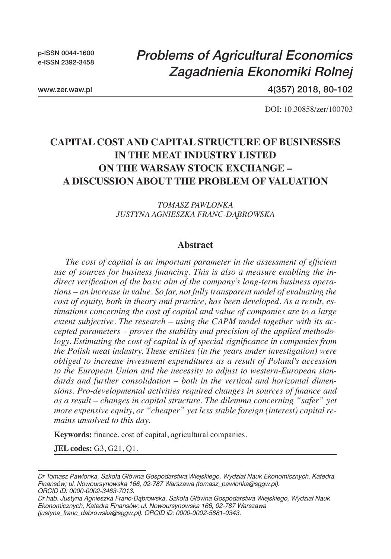p-ISSN 0044-1600 e-ISSN 2392-3458

# *Problems of Agricultural Economics Zagadnienia Ekonomiki Rolnej*

www.zer.waw.pl

4(357) 2018, 80-102

DOI: 10.30858/zer/100703

## **Capital Cost and Capital Structure of Businesses in the Meat Industry Listed on the Warsaw Stock Exchange – A Discussion about the Problem of Valuation**

### *Tomasz Pawlonka Justyna Agnieszka Franc-Dąbrowska*

### **Abstract**

*The cost of capital is an important parameter in the assessment of efficient use of sources for business financing. This is also a measure enabling the indirect verification of the basic aim of the company's long-term business operations – an increase in value. So far, not fully transparent model of evaluating the cost of equity, both in theory and practice, has been developed. As a result, estimations concerning the cost of capital and value of companies are to a large extent subjective. The research – using the CAPM model together with its accepted parameters – proves the stability and precision of the applied methodology. Estimating the cost of capital is of special significance in companies from the Polish meat industry. These entities (in the years under investigation) were obliged to increase investment expenditures as a result of Poland's accession to the European Union and the necessity to adjust to western-European standards and further consolidation – both in the vertical and horizontal dimensions. Pro-developmental activities required changes in sources of finance and as a result – changes in capital structure. The dilemma concerning "safer" yet more expensive equity, or "cheaper" yet less stable foreign (interest) capital remains unsolved to this day.*

**Keywords:** finance, cost of capital, agricultural companies.

**JEL codes:** G3, G21, Q1.

*Dr Tomasz Pawlonka, Szkoła Główna Gospodarstwa Wiejskiego, Wydział Nauk Ekonomicznych, Katedra Finansów; ul. Nowoursynowska 166, 02-787 Warszawa (tomasz\_pawlonka@sggw.pl). ORCID iD: 0000-0002-3463-7013.* 

*Dr hab. Justyna Agnieszka Franc-Dąbrowska, Szkoła Główna Gospodarstwa Wiejskiego, Wydział Nauk Ekonomicznych, Katedra Finansów; ul. Nowoursynowska 166, 02-787 Warszawa (justyna\_franc\_dabrowska@sggw.pl). ORCID iD: 0000-0002-5881-0343.*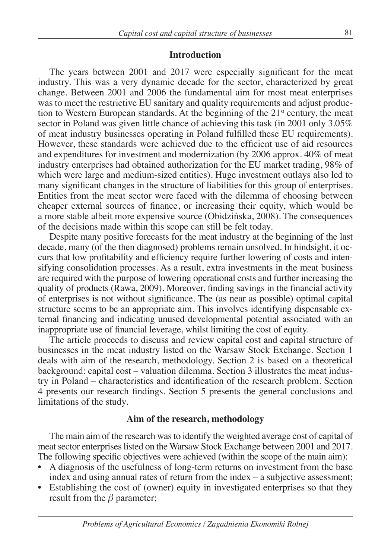#### **Introduction**

The years between 2001 and 2017 were especially significant for the meat industry. This was a very dynamic decade for the sector, characterized by great change. Between 2001 and 2006 the fundamental aim for most meat enterprises was to meet the restrictive EU sanitary and quality requirements and adjust production to Western European standards. At the beginning of the  $21<sup>st</sup>$  century, the meat sector in Poland was given little chance of achieving this task (in 2001 only 3.05% of meat industry businesses operating in Poland fulfilled these EU requirements). However, these standards were achieved due to the efficient use of aid resources and expenditures for investment and modernization (by 2006 approx. 40% of meat industry enterprises had obtained authorization for the EU market trading, 98% of which were large and medium-sized entities). Huge investment outlays also led to many significant changes in the structure of liabilities for this group of enterprises. Entities from the meat sector were faced with the dilemma of choosing between cheaper external sources of finance, or increasing their equity, which would be a more stable albeit more expensive source (Obidzińska, 2008). The consequences of the decisions made within this scope can still be felt today.

Despite many positive forecasts for the meat industry at the beginning of the last decade, many (of the then diagnosed) problems remain unsolved. In hindsight, it occurs that low profitability and efficiency require further lowering of costs and intensifying consolidation processes. As a result, extra investments in the meat business are required with the purpose of lowering operational costs and further increasing the quality of products (Rawa, 2009). Moreover, finding savings in the financial activity of enterprises is not without significance. The (as near as possible) optimal capital structure seems to be an appropriate aim. This involves identifying dispensable external financing and indicating unused developmental potential associated with an inappropriate use of financial leverage, whilst limiting the cost of equity.

The article proceeds to discuss and review capital cost and capital structure of businesses in the meat industry listed on the Warsaw Stock Exchange. Section 1 deals with aim of the research, methodology. Section 2 is based on a theoretical background: capital cost – valuation dilemma. Section 3 illustrates the meat industry in Poland – characteristics and identification of the research problem. Section 4 presents our research findings. Section 5 presents the general conclusions and limitations of the study.

#### **Aim of the research, methodology**

The main aim of the research was to identify the weighted average cost of capital of meat sector enterprises listed on the Warsaw Stock Exchange between 2001 and 2017. The following specific objectives were achieved (within the scope of the main aim):

- A diagnosis of the usefulness of long-term returns on investment from the base index and using annual rates of return from the index – a subjective assessment;
- Establishing the cost of (owner) equity in investigated enterprises so that they result from the *β* parameter;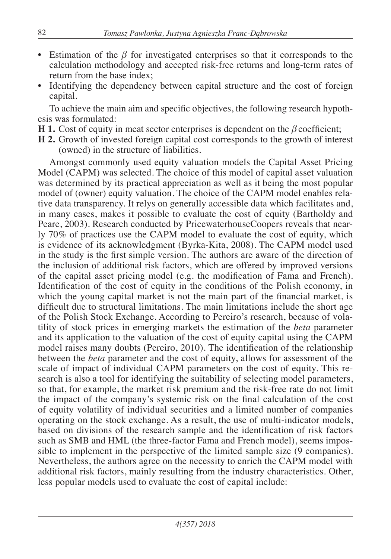- Estimation of the *β* for investigated enterprises so that it corresponds to the calculation methodology and accepted risk-free returns and long-term rates of return from the base index;
- Identifying the dependency between capital structure and the cost of foreign capital.

To achieve the main aim and specific objectives, the following research hypothesis was formulated:

- **H 1.** Cost of equity in meat sector enterprises is dependent on the *β* coefficient;
- **H 2.** Growth of invested foreign capital cost corresponds to the growth of interest (owned) in the structure of liabilities.

Amongst commonly used equity valuation models the Capital Asset Pricing Model (CAPM) was selected. The choice of this model of capital asset valuation was determined by its practical appreciation as well as it being the most popular model of (owner) equity valuation. The choice of the CAPM model enables relative data transparency. It relys on generally accessible data which facilitates and, in many cases, makes it possible to evaluate the cost of equity (Bartholdy and Peare, 2003). Research conducted by PricewaterhouseCoopers reveals that nearly 70% of practices use the CAPM model to evaluate the cost of equity, which is evidence of its acknowledgment (Byrka-Kita, 2008). The CAPM model used in the study is the first simple version. The authors are aware of the direction of the inclusion of additional risk factors, which are offered by improved versions of the capital asset pricing model (e.g. the modification of Fama and French). Identification of the cost of equity in the conditions of the Polish economy, in which the young capital market is not the main part of the financial market, is difficult due to structural limitations. The main limitations include the short age of the Polish Stock Exchange. According to Pereiro's research, because of volatility of stock prices in emerging markets the estimation of the *beta* parameter and its application to the valuation of the cost of equity capital using the CAPM model raises many doubts (Pereiro, 2010). The identification of the relationship between the *beta* parameter and the cost of equity, allows for assessment of the scale of impact of individual CAPM parameters on the cost of equity. This research is also a tool for identifying the suitability of selecting model parameters, so that, for example, the market risk premium and the risk-free rate do not limit the impact of the company's systemic risk on the final calculation of the cost of equity volatility of individual securities and a limited number of companies operating on the stock exchange. As a result, the use of multi-indicator models, based on divisions of the research sample and the identification of risk factors such as SMB and HML (the three-factor Fama and French model), seems impossible to implement in the perspective of the limited sample size (9 companies). Nevertheless, the authors agree on the necessity to enrich the CAPM model with additional risk factors, mainly resulting from the industry characteristics. Other, less popular models used to evaluate the cost of capital include: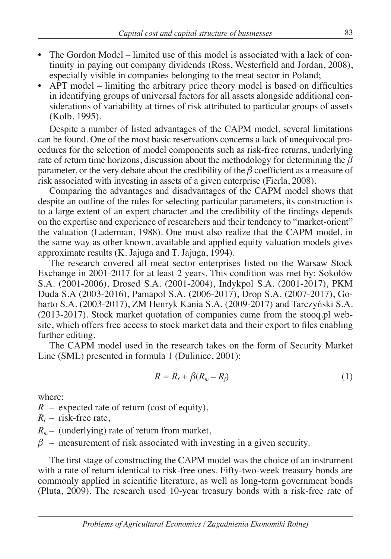- The Gordon Model limited use of this model is associated with a lack of continuity in paying out company dividends (Ross, Westerfield and Jordan, 2008), especially visible in companies belonging to the meat sector in Poland;
- APT model limiting the arbitrary price theory model is based on difficulties in identifying groups of universal factors for all assets alongside additional considerations of variability at times of risk attributed to particular groups of assets (Kolb, 1995).

Despite a number of listed advantages of the CAPM model, several limitations can be found. One of the most basic reservations concerns a lack of unequivocal procedures for the selection of model components such as risk-free returns, underlying rate of return time horizons, discussion about the methodology for determining the *β*  parameter, or the very debate about the credibility of the *β* coefficient as a measure of risk associated with investing in assets of a given enterprise (Fierla, 2008).

Comparing the advantages and disadvantages of the CAPM model shows that despite an outline of the rules for selecting particular parameters, its construction is to a large extent of an expert character and the credibility of the findings depends on the expertise and experience of researchers and their tendency to "market-orient" the valuation (Laderman, 1988). One must also realize that the CAPM model, in the same way as other known, available and applied equity valuation models gives approximate results (K. Jajuga and T. Jajuga, 1994).

The research covered all meat sector enterprises listed on the Warsaw Stock Exchange in 2001-2017 for at least 2 years. This condition was met by: Sokołów S.A. (2001-2006), Drosed S.A. (2001-2004), Indykpol S.A. (2001-2017), PKM Duda S.A (2003-2016), Pamapol S.A. (2006-2017), Drop S.A. (2007-2017), Gobarto S.A. (2003-2017), ZM Henryk Kania S.A. (2009-2017) and Tarczyński S.A. (2013-2017). Stock market quotation of companies came from the stooq.pl website, which offers free access to stock market data and their export to files enabling further editing.

The CAPM model used in the research takes on the form of Security Market Line (SML) presented in formula 1 (Duliniec, 2001):

$$
R = R_f + \beta (R_m - R_f) \tag{1}
$$

where:

*R* – expected rate of return (cost of equity),

 $R_f$  – risk-free rate,

 $R_m$ – (underlying) rate of return from market,

 $\beta$  – measurement of risk associated with investing in a given security.

The first stage of constructing the CAPM model was the choice of an instrument with a rate of return identical to risk-free ones. Fifty-two-week treasury bonds are commonly applied in scientific literature, as well as long-term government bonds (Pluta, 2009). The research used 10-year treasury bonds with a risk-free rate of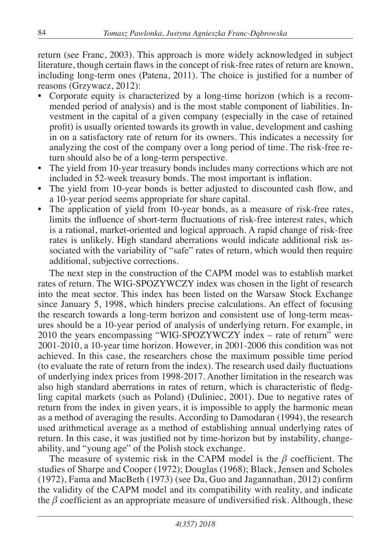return (see Franc, 2003). This approach is more widely acknowledged in subject literature, though certain flaws in the concept of risk-free rates of return are known, including long-term ones (Patena, 2011). The choice is justified for a number of reasons (Grzywacz, 2012):

- Corporate equity is characterized by a long-time horizon (which is a recommended period of analysis) and is the most stable component of liabilities. Investment in the capital of a given company (especially in the case of retained profit) is usually oriented towards its growth in value, development and cashing in on a satisfactory rate of return for its owners. This indicates a necessity for analyzing the cost of the company over a long period of time. The risk-free return should also be of a long-term perspective.
- The yield from 10-year treasury bonds includes many corrections which are not included in 52-week treasury bonds. The most important is inflation.
- The yield from 10-year bonds is better adjusted to discounted cash flow, and a 10-year period seems appropriate for share capital.
- The application of yield from 10-year bonds, as a measure of risk-free rates, limits the influence of short-term fluctuations of risk-free interest rates, which is a rational, market-oriented and logical approach. A rapid change of risk-free rates is unlikely. High standard aberrations would indicate additional risk associated with the variability of "safe" rates of return, which would then require additional, subjective corrections.

The next step in the construction of the CAPM model was to establish market rates of return. The WIG-SPOZYWCZY index was chosen in the light of research into the meat sector. This index has been listed on the Warsaw Stock Exchange since January 5, 1998, which hinders precise calculations. An effect of focusing the research towards a long-term horizon and consistent use of long-term measures should be a 10-year period of analysis of underlying return. For example, in 2010 the years encompassing "WIG-SPOZYWCZY index – rate of return" were 2001-2010, a 10-year time horizon. However, in 2001-2006 this condition was not achieved. In this case, the researchers chose the maximum possible time period (to evaluate the rate of return from the index). The research used daily fluctuations of underlying index prices from 1998-2017. Another limitation in the research was also high standard aberrations in rates of return, which is characteristic of fledgling capital markets (such as Poland) (Duliniec, 2001). Due to negative rates of return from the index in given years, it is impossible to apply the harmonic mean as a method of averaging the results. According to Damodaran (1994), the research used arithmetical average as a method of establishing annual underlying rates of return. In this case, it was justified not by time-horizon but by instability, changeability, and "young age" of the Polish stock exchange.

The measure of systemic risk in the CAPM model is the *β* coefficient. The studies of Sharpe and Cooper (1972); Douglas (1968); Black, Jensen and Scholes (1972), Fama and MacBeth (1973) (see Da, Guo and Jagannathan, 2012) confirm the validity of the CAPM model and its compatibility with reality, and indicate the  $\beta$  coefficient as an appropriate measure of undiversified risk. Although, these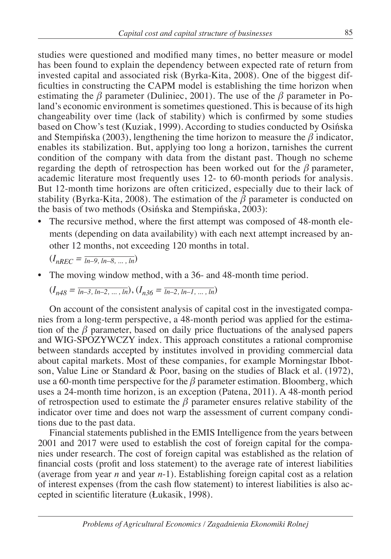studies were questioned and modified many times, no better measure or model has been found to explain the dependency between expected rate of return from invested capital and associated risk (Byrka-Kita, 2008). One of the biggest difficulties in constructing the CAPM model is establishing the time horizon when estimating the  $\beta$  parameter (Duliniec, 2001). The use of the  $\beta$  parameter in Poland's economic environment is sometimes questioned. This is because of its high changeability over time (lack of stability) which is confirmed by some studies based on Chow's test (Kuziak, 1999). According to studies conducted by Osińska and Stempińska (2003), lengthening the time horizon to measure the *β* indicator, enables its stabilization. But, applying too long a horizon, tarnishes the current condition of the company with data from the distant past. Though no scheme regarding the depth of retrospection has been worked out for the *β* parameter, academic literature most frequently uses 12- to 60-month periods for analysis. But 12-month time horizons are often criticized, especially due to their lack of stability (Byrka-Kita, 2008). The estimation of the *β* parameter is conducted on the basis of two methods (Osińska and Stempińska, 2003):

• The recursive method, where the first attempt was composed of 48-month elements (depending on data availability) with each next attempt increased by another 12 months, not exceeding 120 months in total.

 $(I_{nREC} = \overline{ln-9, ln-8, ..., ln})$ 

• The moving window method, with a 36- and 48-month time period.

$$
(I_{n48} = \overline{ln-3, ln-2, ..., ln}), (I_{n36} = \overline{ln-2, ln-1, ..., ln})
$$

On account of the consistent analysis of capital cost in the investigated companies from a long-term perspective, a 48-month period was applied for the estimation of the *β* parameter, based on daily price fluctuations of the analysed papers and WIG-SPOZYWCZY index. This approach constitutes a rational compromise between standards accepted by institutes involved in providing commercial data about capital markets. Most of these companies, for example Morningstar Ibbotson, Value Line or Standard & Poor, basing on the studies of Black et al. (1972), use a 60-month time perspective for the *β* parameter estimation. Bloomberg, which uses a 24-month time horizon, is an exception (Patena, 2011). A 48-month period of retrospection used to estimate the  $\beta$  parameter ensures relative stability of the indicator over time and does not warp the assessment of current company conditions due to the past data.

Financial statements published in the EMIS Intelligence from the years between 2001 and 2017 were used to establish the cost of foreign capital for the companies under research. The cost of foreign capital was established as the relation of financial costs (profit and loss statement) to the average rate of interest liabilities (average from year *n* and year *n*-1). Establishing foreign capital cost as a relation of interest expenses (from the cash flow statement) to interest liabilities is also accepted in scientific literature (Łukasik, 1998).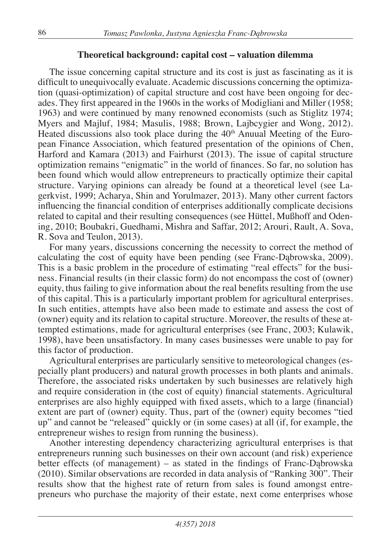## **Theoretical background: capital cost – valuation dilemma**

The issue concerning capital structure and its cost is just as fascinating as it is difficult to unequivocally evaluate. Academic discussions concerning the optimization (quasi-optimization) of capital structure and cost have been ongoing for decades. They first appeared in the 1960s in the works of Modigliani and Miller (1958; 1963) and were continued by many renowned economists (such as Stiglitz 1974; Myers and Majluf, 1984; Masulis, 1988; Brown, Lajbcygier and Wong, 2012). Heated discussions also took place during the  $40<sup>th</sup>$  Anuual Meeting of the European Finance Association, which featured presentation of the opinions of Chen, Harford and Kamara (2013) and Fairhurst (2013). The issue of capital structure optimization remains "enigmatic" in the world of finances. So far, no solution has been found which would allow entrepreneurs to practically optimize their capital structure. Varying opinions can already be found at a theoretical level (see Lagerkvist, 1999; Acharya, Shin and Yorulmazer, 2013). Many other current factors influencing the financial condition of enterprises additionally complicate decisions related to capital and their resulting consequences (see Hüttel, Mußhoff and Odening, 2010; Boubakri, Guedhami, Mishra and Saffar, 2012; Arouri, Rault, A. Sova, R. Sova and Teulon, 2013).

For many years, discussions concerning the necessity to correct the method of calculating the cost of equity have been pending (see Franc-Dąbrowska, 2009). This is a basic problem in the procedure of estimating "real effects" for the business. Financial results (in their classic form) do not encompass the cost of (owner) equity, thus failing to give information about the real benefits resulting from the use of this capital. This is a particularly important problem for agricultural enterprises. In such entities, attempts have also been made to estimate and assess the cost of (owner) equity and its relation to capital structure. Moreover, the results of these attempted estimations, made for agricultural enterprises (see Franc, 2003; Kulawik, 1998), have been unsatisfactory. In many cases businesses were unable to pay for this factor of production.

Agricultural enterprises are particularly sensitive to meteorological changes (especially plant producers) and natural growth processes in both plants and animals. Therefore, the associated risks undertaken by such businesses are relatively high and require consideration in (the cost of equity) financial statements. Agricultural enterprises are also highly equipped with fixed assets, which to a large (financial) extent are part of (owner) equity. Thus, part of the (owner) equity becomes "tied up" and cannot be "released" quickly or (in some cases) at all (if, for example, the entrepreneur wishes to resign from running the business).

Another interesting dependency characterizing agricultural enterprises is that entrepreneurs running such businesses on their own account (and risk) experience better effects (of management) – as stated in the findings of Franc-Dąbrowska (2010). Similar observations are recorded in data analysis of "Ranking 300". Their results show that the highest rate of return from sales is found amongst entrepreneurs who purchase the majority of their estate, next come enterprises whose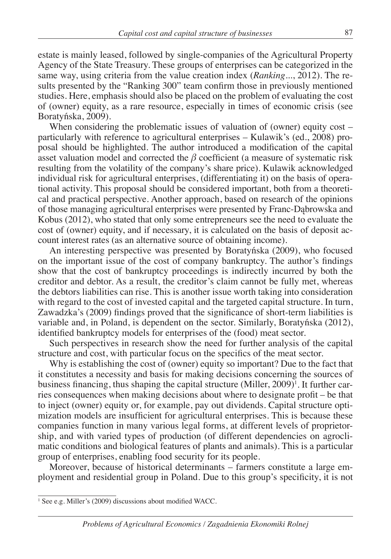estate is mainly leased, followed by single-companies of the Agricultural Property Agency of the State Treasury. These groups of enterprises can be categorized in the same way, using criteria from the value creation index (*Ranking*..., 2012). The results presented by the "Ranking 300" team confirm those in previously mentioned studies. Here, emphasis should also be placed on the problem of evaluating the cost of (owner) equity, as a rare resource, especially in times of economic crisis (see Boratyńska, 2009).

When considering the problematic issues of valuation of (owner) equity cost – particularly with reference to agricultural enterprises – Kulawik's (ed., 2008) proposal should be highlighted. The author introduced a modification of the capital asset valuation model and corrected the *β* coefficient (a measure of systematic risk resulting from the volatility of the company's share price). Kulawik acknowledged individual risk for agricultural enterprises, (differentiating it) on the basis of operational activity. This proposal should be considered important, both from a theoretical and practical perspective. Another approach, based on research of the opinions of those managing agricultural enterprises were presented by Franc-Dąbrowska and Kobus (2012), who stated that only some entrepreneurs see the need to evaluate the cost of (owner) equity, and if necessary, it is calculated on the basis of deposit account interest rates (as an alternative source of obtaining income).

An interesting perspective was presented by Boratyńska (2009), who focused on the important issue of the cost of company bankruptcy. The author's findings show that the cost of bankruptcy proceedings is indirectly incurred by both the creditor and debtor. As a result, the creditor's claim cannot be fully met, whereas the debtors liabilities can rise. This is another issue worth taking into consideration with regard to the cost of invested capital and the targeted capital structure. In turn, Zawadzka's (2009) findings proved that the significance of short-term liabilities is variable and, in Poland, is dependent on the sector. Similarly, Boratyńska (2012), identified bankruptcy models for enterprises of the (food) meat sector.

Such perspectives in research show the need for further analysis of the capital structure and cost, with particular focus on the specifics of the meat sector.

Why is establishing the cost of (owner) equity so important? Due to the fact that it constitutes a necessity and basis for making decisions concerning the sources of business financing, thus shaping the capital structure (Miller, 2009)<sup>1</sup>. It further carries consequences when making decisions about where to designate profit – be that to inject (owner) equity or, for example, pay out dividends. Capital structure optimization models are insufficient for agricultural enterprises. This is because these companies function in many various legal forms, at different levels of proprietorship, and with varied types of production (of different dependencies on agroclimatic conditions and biological features of plants and animals). This is a particular group of enterprises, enabling food security for its people.

Moreover, because of historical determinants – farmers constitute a large employment and residential group in Poland. Due to this group's specificity, it is not

<sup>&</sup>lt;sup>1</sup> See e.g. Miller's (2009) discussions about modified WACC.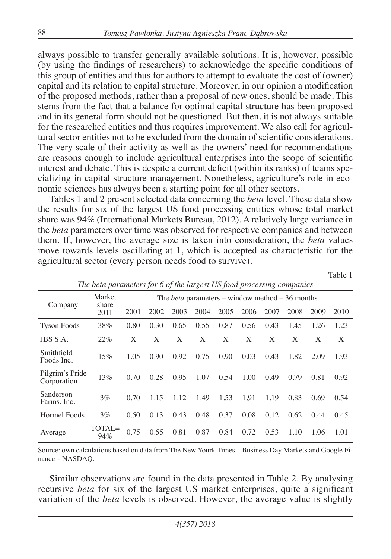always possible to transfer generally available solutions. It is, however, possible (by using the findings of researchers) to acknowledge the specific conditions of this group of entities and thus for authors to attempt to evaluate the cost of (owner) capital and its relation to capital structure. Moreover, in our opinion a modification of the proposed methods, rather than a proposal of new ones, should be made. This stems from the fact that a balance for optimal capital structure has been proposed and in its general form should not be questioned. But then, it is not always suitable for the researched entities and thus requires improvement. We also call for agricultural sector entities not to be excluded from the domain of scientific considerations. The very scale of their activity as well as the owners' need for recommendations are reasons enough to include agricultural enterprises into the scope of scientific interest and debate. This is despite a current deficit (within its ranks) of teams specializing in capital structure management. Nonetheless, agriculture's role in economic sciences has always been a starting point for all other sectors.

Tables 1 and 2 present selected data concerning the *beta* level. These data show the results for six of the largest US food processing entities whose total market share was 94% (International Markets Bureau, 2012). A relatively large variance in the *beta* parameters over time was observed for respective companies and between them. If, however, the average size is taken into consideration, the *beta* values move towards levels oscillating at 1, which is accepted as characteristic for the agricultural sector (every person needs food to survive).

Table 1

|                                | $\mathbf{I}$  |      |      |      | $\circ$ |      | $\overline{ }$ | $\cup$                                                 | $\overline{ }$ |      |      |
|--------------------------------|---------------|------|------|------|---------|------|----------------|--------------------------------------------------------|----------------|------|------|
|                                | Market        |      |      |      |         |      |                | The <i>beta</i> parameters – window method – 36 months |                |      |      |
| Company                        | share<br>2011 | 2001 | 2002 | 2003 | 2004    | 2005 | 2006           | 2007                                                   | 2008           | 2009 | 2010 |
| <b>Tyson Foods</b>             | 38%           | 0.80 | 0.30 | 0.65 | 0.55    | 0.87 | 0.56           | 0.43                                                   | 1.45           | 1.26 | 1.23 |
| JBS S.A.                       | 22%           | X    | X    | X    | X       | X    | X              | X                                                      | X              | X    | X    |
| Smithfield<br>Foods Inc.       | 15%           | 1.05 | 0.90 | 0.92 | 0.75    | 0.90 | 0.03           | 0.43                                                   | 1.82           | 2.09 | 1.93 |
| Pilgrim's Pride<br>Corporation | 13%           | 0.70 | 0.28 | 0.95 | 1.07    | 0.54 | 1.00           | 0.49                                                   | 0.79           | 0.81 | 0.92 |
| Sanderson<br>Farms, Inc.       | $3\%$         | 0.70 | 1.15 | 1.12 | 1.49    | 1.53 | 1.91           | 1.19                                                   | 0.83           | 0.69 | 0.54 |
| Hormel Foods                   | $3\%$         | 0.50 | 0.13 | 0.43 | 0.48    | 0.37 | 0.08           | 0.12                                                   | 0.62           | 0.44 | 0.45 |
| Average                        | TOTAL=<br>94% | 0.75 | 0.55 | 0.81 | 0.87    | 0.84 | 0.72           | 0.53                                                   | 1.10           | 1.06 | 1.01 |

*The beta parameters for 6 of the largest US food processing companies*

Source: own calculations based on data from The New Yourk Times – Business Day Markets and Google Finance – NASDAQ.

Similar observations are found in the data presented in Table 2. By analysing recursive *beta* for six of the largest US market enterprises, quite a significant variation of the *beta* levels is observed. However, the average value is slightly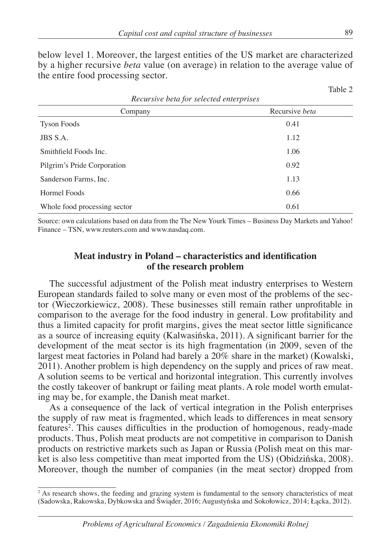below level 1. Moreover, the largest entities of the US market are characterized by a higher recursive *beta* value (on average) in relation to the average value of the entire food processing sector.

| Company                      | Recursive <i>beta</i> |
|------------------------------|-----------------------|
| <b>Tyson Foods</b>           | 0.41                  |
| JBS S.A.                     | 1.12                  |
| Smithfield Foods Inc.        | 1.06                  |
| Pilgrim's Pride Corporation  | 0.92                  |
| Sanderson Farms, Inc.        | 1.13                  |
| Hormel Foods                 | 0.66                  |
| Whole food processing sector | 0.61                  |

Source: own calculations based on data from the The New Yourk Times – Business Day Markets and Yahoo! Finance – TSN, www.reuters.com and www.nasdaq.com.

### **Meat industry in Poland – characteristics and identification of the research problem**

The successful adjustment of the Polish meat industry enterprises to Western European standards failed to solve many or even most of the problems of the sector (Wieczorkiewicz, 2008). These businesses still remain rather unprofitable in comparison to the average for the food industry in general. Low profitability and thus a limited capacity for profit margins, gives the meat sector little significance as a source of increasing equity (Kalwasińska, 2011). A significant barrier for the development of the meat sector is its high fragmentation (in 2009, seven of the largest meat factories in Poland had barely a 20% share in the market) (Kowalski, 2011). Another problem is high dependency on the supply and prices of raw meat. A solution seems to be vertical and horizontal integration. This currently involves the costly takeover of bankrupt or failing meat plants. A role model worth emulating may be, for example, the Danish meat market.

As a consequence of the lack of vertical integration in the Polish enterprises the supply of raw meat is fragmented, which leads to differences in meat sensory features<sup>2</sup>. This causes difficulties in the production of homogenous, ready-made products. Thus, Polish meat products are not competitive in comparison to Danish products on restrictive markets such as Japan or Russia (Polish meat on this market is also less competitive than meat imported from the US) (Obidzińska, 2008). Moreover, though the number of companies (in the meat sector) dropped from

Table 2

<sup>&</sup>lt;sup>2</sup> As research shows, the feeding and grazing system is fundamental to the sensory characteristics of meat (Sadowska, Rakowska, Dybkowska and Świąder, 2016; Augustyńska and Sokołowicz, 2014; Łącka, 2012).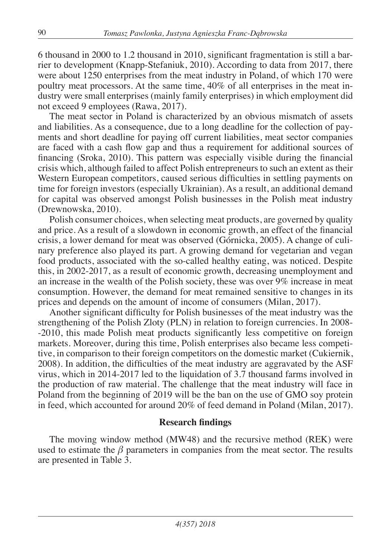6 thousand in 2000 to 1.2 thousand in 2010, significant fragmentation is still a barrier to development (Knapp-Stefaniuk, 2010). According to data from 2017, there were about 1250 enterprises from the meat industry in Poland, of which 170 were poultry meat processors. At the same time, 40% of all enterprises in the meat industry were small enterprises (mainly family enterprises) in which employment did not exceed 9 employees (Rawa, 2017).

The meat sector in Poland is characterized by an obvious mismatch of assets and liabilities. As a consequence, due to a long deadline for the collection of payments and short deadline for paying off current liabilities, meat sector companies are faced with a cash flow gap and thus a requirement for additional sources of financing (Sroka, 2010). This pattern was especially visible during the financial crisis which, although failed to affect Polish entrepreneurs to such an extent as their Western European competitors, caused serious difficulties in settling payments on time for foreign investors (especially Ukrainian). As a result, an additional demand for capital was observed amongst Polish businesses in the Polish meat industry (Drewnowska, 2010).

Polish consumer choices, when selecting meat products, are governed by quality and price. As a result of a slowdown in economic growth, an effect of the financial crisis, a lower demand for meat was observed (Górnicka, 2005). A change of culinary preference also played its part. A growing demand for vegetarian and vegan food products, associated with the so-called healthy eating, was noticed. Despite this, in 2002-2017, as a result of economic growth, decreasing unemployment and an increase in the wealth of the Polish society, these was over 9% increase in meat consumption. However, the demand for meat remained sensitive to changes in its prices and depends on the amount of income of consumers (Milan, 2017).

Another significant difficulty for Polish businesses of the meat industry was the strengthening of the Polish Zloty (PLN) in relation to foreign currencies. In 2008- -2010, this made Polish meat products significantly less competitive on foreign markets. Moreover, during this time, Polish enterprises also became less competitive, in comparison to their foreign competitors on the domestic market (Cukiernik, 2008). In addition, the difficulties of the meat industry are aggravated by the ASF virus, which in 2014-2017 led to the liquidation of 3.7 thousand farms involved in the production of raw material. The challenge that the meat industry will face in Poland from the beginning of 2019 will be the ban on the use of GMO soy protein in feed, which accounted for around 20% of feed demand in Poland (Milan, 2017).

### **Research findings**

The moving window method (MW48) and the recursive method (REK) were used to estimate the  $\beta$  parameters in companies from the meat sector. The results are presented in Table 3.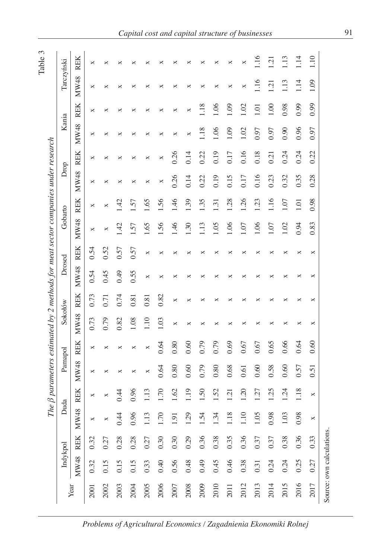| ٣ |  |
|---|--|
|   |  |
|   |  |

|      |                          |            |      |                 |         |            |         |            | The $\beta$ parameters estimated by 2 methods for meat sector companies under research |            |         |                  |      |            |       |                  |                  |                |
|------|--------------------------|------------|------|-----------------|---------|------------|---------|------------|----------------------------------------------------------------------------------------|------------|---------|------------------|------|------------|-------|------------------|------------------|----------------|
|      | Indykpol                 |            |      | Duda            | Pamapol |            | Sokołów |            | Drosed                                                                                 |            | Gobarto |                  | Drop |            | Kania |                  | Tarczyński       |                |
| Year | MW48                     | <b>REK</b> | MW48 | <b>REK</b>      | MW48    | <b>REK</b> | MW48    | <b>REK</b> | MW48                                                                                   | <b>REK</b> | MW48    | <b>REK</b>       | MW48 | <b>REK</b> | MW48  | <b>REK</b>       | MW48             | <b>REK</b>     |
| 2001 | 0.32                     | 0.32       | ×    | ×               | ×       | ×          | 0.73    | 0.73       | 0.54                                                                                   | 0.54       | ×       | ×                | ×    | ×          | ×     | ×                | ×                | ×              |
| 2002 | 0.15                     | 0.27       | ×    |                 | ×       | ×          | 0.79    | 0.71       | 0.45                                                                                   | 0.52       | ×       | ×                | ×    | ×          | ×     | ×                | ×                | ×              |
| 2003 | 0.15                     | 0.28       | 0.44 | 0.44            | ×       | ×          | 0.82    | 0.74       | 64.0                                                                                   | 0.57       | 4?      | 42               | ×    | ×          | ×     | ×                | ×                |                |
| 2004 | 0.15                     | 0.28       | 0.96 | 0.96            | ×       | ×          | 1.08    | 0.81       | 0.55                                                                                   | 0.57       | $-57$   | 57               | ×    | ×          | ×     | ×                | ×                |                |
| 2005 | 0.33                     | 0.27       | 1.13 | 1.13            | ×       | ×          | 1.10    | 0.81       | ×                                                                                      | ×          | 1.65    | 1.65             | ×    | ×          | ×     | ×                | ×                |                |
| 2006 | 0.40                     | 0.30       | 1.70 | 1.70            | 0.64    | 0.64       | 1.03    | 0.82       | ×                                                                                      | ×          | 1.56    | 1.56             | ×    | ×          | ×     | ×                | ×                | ×              |
| 2007 | 0.56                     | 0.30       | 1.91 | 1.62            | 0.80    | 0.80       | ×       | ×          | ×                                                                                      | ×          | 1.46    | 1.46             | 0.26 | 0.26       | ×     | ×                | ×                |                |
| 2008 | 0.48                     | 0.29       | 1.29 | $^{01}$         | 0.60    | 0.60       | ×       | ×          | ×                                                                                      | ×          | 1.30    | .39              | 0.14 | 0.14       | ×     | ×                | ×                | ×              |
| 2009 | 64.0                     | 0.36       | 1.54 | .50             | 0.79    | 0.79       | ×       | ×          | ×                                                                                      | ×          | 1.13    | .35              | 0.22 | 0.22       | 1.18  | .18              | ×                | ×              |
| 2010 | 0.45                     | 0.38       | 1.34 | 1.52            | 0.80    | 0.79       | ×       | ×          | ×                                                                                      | ×          | 1.05    | $\overline{3}$   | 0.19 | 0.19       | 1.06  | 1.06             | ×                | ×              |
| 2011 | 0.46                     | 0.35       | 1.18 | $\overline{21}$ | 0.68    | 0.69       | ×       | ×          | ×                                                                                      | ×          | 1.06    | 1.28             | 0.15 | 0.17       | 1.09  | 1.09             | ×                | ×              |
| 2012 | 0.38                     | 0.36       | 1.10 | 1.20            | 0.61    | 0.67       | ×       | ×          | ×                                                                                      | ×          | 1.07    | 1.26             | 0.17 | 0.16       | 1.02  | 1.02             | ×                | ×              |
| 2013 | 0.31                     | 0.37       | 1.05 | 1.27            | 0.60    | 0.67       | ×       | ×          | ×                                                                                      | ×          | 1.06    | $\overline{.23}$ | 0.16 | 0.18       | 0.97  | $\overline{0}$ . | 1.16             | 1.16           |
| 2014 | 0.24                     | 0.37       | 0.98 | 1.25            | 0.58    | 0.65       | ×       | ×          | ×                                                                                      | ×          | 1.07    | 1.16             | 0.23 | 0.21       | 0.97  | 1.00             | $\overline{121}$ | $\overline{q}$ |
| 2015 | 0.24                     | 0.38       | 1.03 | 1.24            | 0.60    | 0.66       | ×       | ×          | ×                                                                                      | ×          | 1.02    | 1.07             | 0.32 | 0.24       | 0.90  | 0.98             | 1.13             | 1.13           |
| 2016 | 0.25                     | 0.36       | 0.98 | 1.18            | 0.57    | 0.64       | ×       | ×          | ×                                                                                      | ×          | 0.94    | 1.01             | 0.35 | 0.24       | 0.96  | 0.99             | 1.14             | 1.14           |
| 2017 | 0.27                     | 0.33       | ×    | ×               | 0.51    | 0.60       | ×       | ×          | ×                                                                                      | ×          | 0.83    | 0.98             | 0.28 | 0.22       | 0.97  | 0.99             | 1.09             | 1.10           |
|      | Source: own calculations |            |      |                 |         |            |         |            |                                                                                        |            |         |                  |      |            |       |                  |                  |                |

*Problems of Agricultural Economics / Zagadnienia Ekonomiki Rolnej*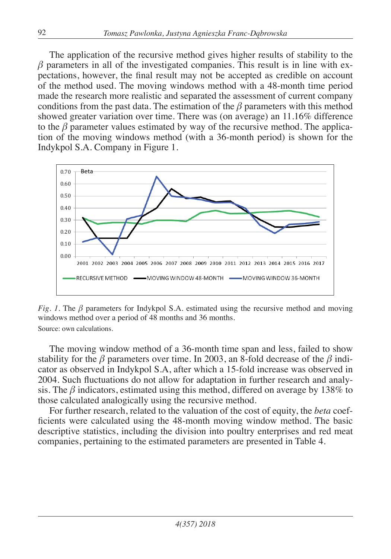The application of the recursive method gives higher results of stability to the  $\beta$  parameters in all of the investigated companies. This result is in line with expectations, however, the final result may not be accepted as credible on account of the method used. The moving windows method with a 48-month time period made the research more realistic and separated the assessment of current company conditions from the past data. The estimation of the  $\beta$  parameters with this method showed greater variation over time. There was (on average) an 11.16% difference to the  $\beta$  parameter values estimated by way of the recursive method. The application of the moving windows method (with a 36-month period) is shown for the Indykpol S.A. Company in Figure 1.



*Fig. 1.* The  $\beta$  parameters for Indykpol S.A. estimated using the recursive method and moving windows method over a period of 48 months and 36 months. Source: own calculations.

The moving window method of a 36-month time span and less, failed to show stability for the  $\beta$  parameters over time. In 2003, an 8-fold decrease of the  $\beta$  indicator as observed in Indykpol S.A, after which a 15-fold increase was observed in 2004. Such fluctuations do not allow for adaptation in further research and analysis. The *β* indicators, estimated using this method, differed on average by 138% to those calculated analogically using the recursive method.

For further research, related to the valuation of the cost of equity, the *beta* coefficients were calculated using the 48-month moving window method. The basic descriptive statistics, including the division into poultry enterprises and red meat companies, pertaining to the estimated parameters are presented in Table 4.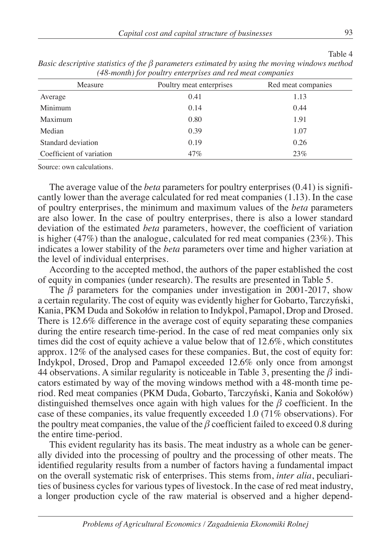|                          | To monity for power former prises when reaches companies |                    |
|--------------------------|----------------------------------------------------------|--------------------|
| Measure                  | Poultry meat enterprises                                 | Red meat companies |
| Average                  | 0.41                                                     | 1.13               |
| Minimum                  | 0.14                                                     | 0.44               |
| Maximum                  | 0.80                                                     | 1.91               |
| Median                   | 0.39                                                     | 1.07               |
| Standard deviation       | 0.19                                                     | 0.26               |
| Coefficient of variation | 47%                                                      | 23%                |

*Basic descriptive statistics of the β parameters estimated by using the moving windows method (48-month) for poultry enterprises and red meat companies*

Source: own calculations.

The average value of the *beta* parameters for poultry enterprises (0.41) is significantly lower than the average calculated for red meat companies (1.13). In the case of poultry enterprises, the minimum and maximum values of the *beta* parameters are also lower. In the case of poultry enterprises, there is also a lower standard deviation of the estimated *beta* parameters, however, the coefficient of variation is higher (47%) than the analogue, calculated for red meat companies (23%). This indicates a lower stability of the *beta* parameters over time and higher variation at the level of individual enterprises.

According to the accepted method, the authors of the paper established the cost of equity in companies (under research). The results are presented in Table 5.

The  $\beta$  parameters for the companies under investigation in 2001-2017, show a certain regularity. The cost of equity was evidently higher for Gobarto, Tarczyński, Kania, PKM Duda and Sokołów in relation to Indykpol, Pamapol, Drop and Drosed. There is 12.6% difference in the average cost of equity separating these companies during the entire research time-period. In the case of red meat companies only six times did the cost of equity achieve a value below that of  $12.6\%$ , which constitutes approx. 12% of the analysed cases for these companies. But, the cost of equity for: Indykpol, Drosed, Drop and Pamapol exceeded 12.6% only once from amongst 44 observations. A similar regularity is noticeable in Table 3, presenting the *β* indicators estimated by way of the moving windows method with a 48-month time period. Red meat companies (PKM Duda, Gobarto, Tarczyński, Kania and Sokołów) distinguished themselves once again with high values for the *β* coefficient. In the case of these companies, its value frequently exceeded 1.0 (71% observations). For the poultry meat companies, the value of the  $\beta$  coefficient failed to exceed 0.8 during the entire time-period.

This evident regularity has its basis. The meat industry as a whole can be generally divided into the processing of poultry and the processing of other meats. The identified regularity results from a number of factors having a fundamental impact on the overall systematic risk of enterprises. This stems from, *inter alia*, peculiarities of business cycles for various types of livestock. In the case of red meat industry, a longer production cycle of the raw material is observed and a higher depend-

Table 4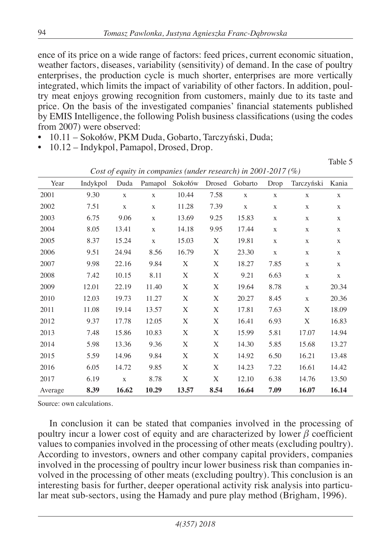ence of its price on a wide range of factors: feed prices, current economic situation, weather factors, diseases, variability (sensitivity) of demand. In the case of poultry enterprises, the production cycle is much shorter, enterprises are more vertically integrated, which limits the impact of variability of other factors. In addition, poultry meat enjoys growing recognition from customers, mainly due to its taste and price. On the basis of the investigated companies' financial statements published by EMIS Intelligence, the following Polish business classifications (using the codes from 2007) were observed:

- 10.11 Sokołów, PKM Duda, Gobarto, Tarczyński, Duda;
- 10.12 Indykpol, Pamapol, Drosed, Drop.

Table 5

| Year    | Indykpol | Duda         | Pamapol      | Sokołów | Drosed | Gobarto      | Drop         | Tarczyński   | Kania        |
|---------|----------|--------------|--------------|---------|--------|--------------|--------------|--------------|--------------|
| 2001    | 9.30     | $\mathbf{X}$ | $\mathbf X$  | 10.44   | 7.58   | $\mathbf{X}$ | $\mathbf{X}$ | $\mathbf X$  | X            |
| 2002    | 7.51     | $\mathbf X$  | $\mathbf{X}$ | 11.28   | 7.39   | $\mathbf X$  | X            | X            | $\mathbf X$  |
| 2003    | 6.75     | 9.06         | $\mathbf X$  | 13.69   | 9.25   | 15.83        | X            | X            | $\mathbf X$  |
| 2004    | 8.05     | 13.41        | $\mathbf{X}$ | 14.18   | 9.95   | 17.44        | X            | X            | X            |
| 2005    | 8.37     | 15.24        | $\mathbf X$  | 15.03   | X      | 19.81        | $\mathbf X$  | X            | X            |
| 2006    | 9.51     | 24.94        | 8.56         | 16.79   | X      | 23.30        | $\mathbf{X}$ | X            | X            |
| 2007    | 9.98     | 22.16        | 9.84         | X       | X      | 18.27        | 7.85         | $\mathbf{X}$ | $\mathbf{X}$ |
| 2008    | 7.42     | 10.15        | 8.11         | X       | X      | 9.21         | 6.63         | $\mathbf X$  | $\mathbf{X}$ |
| 2009    | 12.01    | 22.19        | 11.40        | X       | X      | 19.64        | 8.78         | $\mathbf X$  | 20.34        |
| 2010    | 12.03    | 19.73        | 11.27        | X       | X      | 20.27        | 8.45         | $\mathbf{X}$ | 20.36        |
| 2011    | 11.08    | 19.14        | 13.57        | X       | X      | 17.81        | 7.63         | X            | 18.09        |
| 2012    | 9.37     | 17.78        | 12.05        | X       | X      | 16.41        | 6.93         | X            | 16.83        |
| 2013    | 7.48     | 15.86        | 10.83        | X       | X      | 15.99        | 5.81         | 17.07        | 14.94        |
| 2014    | 5.98     | 13.36        | 9.36         | X       | X      | 14.30        | 5.85         | 15.68        | 13.27        |
| 2015    | 5.59     | 14.96        | 9.84         | X       | X      | 14.92        | 6.50         | 16.21        | 13.48        |
| 2016    | 6.05     | 14.72        | 9.85         | X       | X      | 14.23        | 7.22         | 16.61        | 14.42        |
| 2017    | 6.19     | $\mathbf{X}$ | 8.78         | X       | X      | 12.10        | 6.38         | 14.76        | 13.50        |
| Average | 8.39     | 16.62        | 10.29        | 13.57   | 8.54   | 16.64        | 7.09         | 16.07        | 16.14        |

*Cost of equity in companies (under research) in 2001-2017 (%)*

Source: own calculations.

In conclusion it can be stated that companies involved in the processing of poultry incur a lower cost of equity and are characterized by lower *β* coefficient values to companies involved in the processing of other meats (excluding poultry). According to investors, owners and other company capital providers, companies involved in the processing of poultry incur lower business risk than companies involved in the processing of other meats (excluding poultry). This conclusion is an interesting basis for further, deeper operational activity risk analysis into particular meat sub-sectors, using the Hamady and pure play method (Brigham, 1996).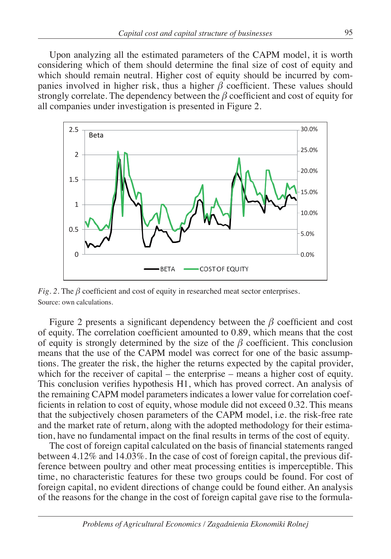Upon analyzing all the estimated parameters of the CAPM model, it is worth considering which of them should determine the final size of cost of equity and which should remain neutral. Higher cost of equity should be incurred by companies involved in higher risk, thus a higher  $\beta$  coefficient. These values should strongly correlate. The dependency between the *β* coefficient and cost of equity for all companies under investigation is presented in Figure 2.



*Fig. 2.* The *β* coefficient and cost of equity in researched meat sector enterprises. Source: own calculations.

Figure 2 presents a significant dependency between the *β* coefficient and cost of equity. The correlation coefficient amounted to 0.89, which means that the cost of equity is strongly determined by the size of the *β* coefficient. This conclusion means that the use of the CAPM model was correct for one of the basic assumptions. The greater the risk, the higher the returns expected by the capital provider, which for the receiver of capital – the enterprise – means a higher cost of equity. This conclusion verifies hypothesis H1, which has proved correct. An analysis of the remaining CAPM model parameters indicates a lower value for correlation coefficients in relation to cost of equity, whose module did not exceed 0.32. This means that the subjectively chosen parameters of the CAPM model, i.e. the risk-free rate and the market rate of return, along with the adopted methodology for their estimation, have no fundamental impact on the final results in terms of the cost of equity.

The cost of foreign capital calculated on the basis of financial statements ranged between 4.12% and 14.03%. In the case of cost of foreign capital, the previous difference between poultry and other meat processing entities is imperceptible. This time, no characteristic features for these two groups could be found. For cost of foreign capital, no evident directions of change could be found either. An analysis of the reasons for the change in the cost of foreign capital gave rise to the formula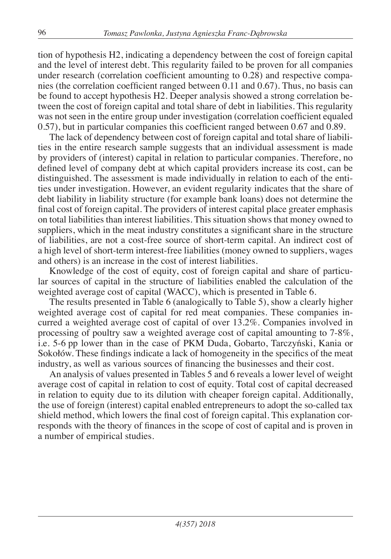tion of hypothesis H2, indicating a dependency between the cost of foreign capital and the level of interest debt. This regularity failed to be proven for all companies under research (correlation coefficient amounting to 0.28) and respective companies (the correlation coefficient ranged between 0.11 and 0.67). Thus, no basis can be found to accept hypothesis H2. Deeper analysis showed a strong correlation between the cost of foreign capital and total share of debt in liabilities. This regularity was not seen in the entire group under investigation (correlation coefficient equaled 0.57), but in particular companies this coefficient ranged between 0.67 and 0.89.

The lack of dependency between cost of foreign capital and total share of liabilities in the entire research sample suggests that an individual assessment is made by providers of (interest) capital in relation to particular companies. Therefore, no defined level of company debt at which capital providers increase its cost, can be distinguished. The assessment is made individually in relation to each of the entities under investigation. However, an evident regularity indicates that the share of debt liability in liability structure (for example bank loans) does not determine the final cost of foreign capital. The providers of interest capital place greater emphasis on total liabilities than interest liabilities. This situation shows that money owned to suppliers, which in the meat industry constitutes a significant share in the structure of liabilities, are not a cost-free source of short-term capital. An indirect cost of a high level of short-term interest-free liabilities (money owned to suppliers, wages and others) is an increase in the cost of interest liabilities.

Knowledge of the cost of equity, cost of foreign capital and share of particular sources of capital in the structure of liabilities enabled the calculation of the weighted average cost of capital (WACC), which is presented in Table 6.

The results presented in Table 6 (analogically to Table 5), show a clearly higher weighted average cost of capital for red meat companies. These companies incurred a weighted average cost of capital of over 13.2%. Companies involved in processing of poultry saw a weighted average cost of capital amounting to 7-8%, i.e. 5-6 pp lower than in the case of PKM Duda, Gobarto, Tarczyński, Kania or Sokołów. These findings indicate a lack of homogeneity in the specifics of the meat industry, as well as various sources of financing the businesses and their cost.

An analysis of values presented in Tables 5 and 6 reveals a lower level of weight average cost of capital in relation to cost of equity. Total cost of capital decreased in relation to equity due to its dilution with cheaper foreign capital. Additionally, the use of foreign (interest) capital enabled entrepreneurs to adopt the so-called tax shield method, which lowers the final cost of foreign capital. This explanation corresponds with the theory of finances in the scope of cost of capital and is proven in a number of empirical studies.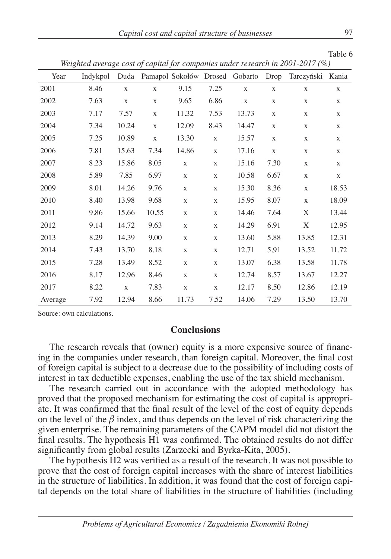| Capital cost and capital structure of businesses |  |  |
|--------------------------------------------------|--|--|
|--------------------------------------------------|--|--|

Table 6

| Year    | Indykpol |              |              |              |              | Duda Pamapol Sokołów Drosed Gobarto Drop |             | Tarczyński Kania |              |
|---------|----------|--------------|--------------|--------------|--------------|------------------------------------------|-------------|------------------|--------------|
| 2001    | 8.46     | $\mathbf{X}$ | $\mathbf{X}$ | 9.15         | 7.25         | $\mathbf X$                              | $\mathbf X$ | $\mathbf{X}$     | X            |
| 2002    | 7.63     | $\mathbf{X}$ | $\mathbf{X}$ | 9.65         | 6.86         | $\mathbf X$                              | X           | $\mathbf X$      | X            |
| 2003    | 7.17     | 7.57         | $\mathbf X$  | 11.32        | 7.53         | 13.73                                    | $\mathbf X$ | $\mathbf X$      | $\mathbf X$  |
| 2004    | 7.34     | 10.24        | $\mathbf{X}$ | 12.09        | 8.43         | 14.47                                    | $\mathbf X$ | $\mathbf X$      | $\mathbf X$  |
| 2005    | 7.25     | 10.89        | $\mathbf X$  | 13.30        | $\mathbf X$  | 15.57                                    | $\mathbf X$ | $\mathbf X$      | $\mathbf X$  |
| 2006    | 7.81     | 15.63        | 7.34         | 14.86        | $\mathbf{X}$ | 17.16                                    | $\mathbf X$ | $\mathbf X$      | $\mathbf X$  |
| 2007    | 8.23     | 15.86        | 8.05         | $\mathbf{X}$ | $\mathbf{X}$ | 15.16                                    | 7.30        | $\mathbf{X}$     | $\mathbf{X}$ |
| 2008    | 5.89     | 7.85         | 6.97         | $\mathbf X$  | $\mathbf X$  | 10.58                                    | 6.67        | $\mathbf X$      | $\mathbf X$  |
| 2009    | 8.01     | 14.26        | 9.76         | $\mathbf X$  | $\mathbf X$  | 15.30                                    | 8.36        | $\mathbf X$      | 18.53        |
| 2010    | 8.40     | 13.98        | 9.68         | $\mathbf{X}$ | $\mathbf{X}$ | 15.95                                    | 8.07        | $\mathbf{X}$     | 18.09        |
| 2011    | 9.86     | 15.66        | 10.55        | $\mathbf X$  | $\mathbf X$  | 14.46                                    | 7.64        | X                | 13.44        |
| 2012    | 9.14     | 14.72        | 9.63         | $\mathbf X$  | $\mathbf X$  | 14.29                                    | 6.91        | X                | 12.95        |
| 2013    | 8.29     | 14.39        | 9.00         | $\mathbf X$  | $\mathbf X$  | 13.60                                    | 5.88        | 13.85            | 12.31        |
| 2014    | 7.43     | 13.70        | 8.18         | $\mathbf X$  | $\mathbf X$  | 12.71                                    | 5.91        | 13.52            | 11.72        |
| 2015    | 7.28     | 13.49        | 8.52         | $\mathbf X$  | $\mathbf X$  | 13.07                                    | 6.38        | 13.58            | 11.78        |
| 2016    | 8.17     | 12.96        | 8.46         | $\mathbf{X}$ | $\mathbf{X}$ | 12.74                                    | 8.57        | 13.67            | 12.27        |
| 2017    | 8.22     | $\mathbf{X}$ | 7.83         | $\mathbf X$  | $\mathbf{X}$ | 12.17                                    | 8.50        | 12.86            | 12.19        |
| Average | 7.92     | 12.94        | 8.66         | 11.73        | 7.52         | 14.06                                    | 7.29        | 13.50            | 13.70        |

*Weighted average cost of capital for companies under research in 2001-2017 (%)*

Source: own calculations.

### **Conclusions**

The research reveals that (owner) equity is a more expensive source of financing in the companies under research, than foreign capital. Moreover, the final cost of foreign capital is subject to a decrease due to the possibility of including costs of interest in tax deductible expenses, enabling the use of the tax shield mechanism.

The research carried out in accordance with the adopted methodology has proved that the proposed mechanism for estimating the cost of capital is appropriate. It was confirmed that the final result of the level of the cost of equity depends on the level of the  $\beta$  index, and thus depends on the level of risk characterizing the given enterprise. The remaining parameters of the CAPM model did not distort the final results. The hypothesis H1 was confirmed. The obtained results do not differ significantly from global results (Zarzecki and Byrka-Kita, 2005).

The hypothesis H2 was verified as a result of the research. It was not possible to prove that the cost of foreign capital increases with the share of interest liabilities in the structure of liabilities. In addition, it was found that the cost of foreign capital depends on the total share of liabilities in the structure of liabilities (including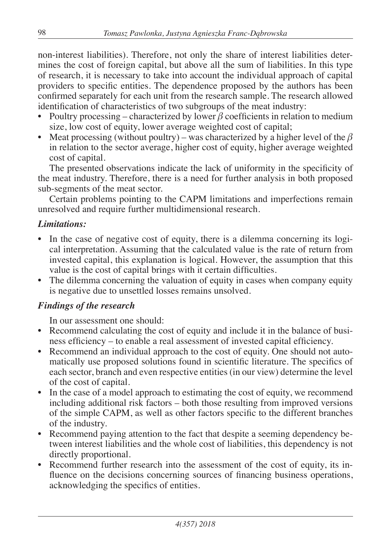non-interest liabilities). Therefore, not only the share of interest liabilities determines the cost of foreign capital, but above all the sum of liabilities. In this type of research, it is necessary to take into account the individual approach of capital providers to specific entities. The dependence proposed by the authors has been confirmed separately for each unit from the research sample. The research allowed identification of characteristics of two subgroups of the meat industry:

- Poultry processing characterized by lower  $\beta$  coefficients in relation to medium size, low cost of equity, lower average weighted cost of capital;
- Meat processing (without poultry) was characterized by a higher level of the  $\beta$ in relation to the sector average, higher cost of equity, higher average weighted cost of capital.

The presented observations indicate the lack of uniformity in the specificity of the meat industry. Therefore, there is a need for further analysis in both proposed sub-segments of the meat sector.

Certain problems pointing to the CAPM limitations and imperfections remain unresolved and require further multidimensional research.

## *Limitations:*

- In the case of negative cost of equity, there is a dilemma concerning its logical interpretation. Assuming that the calculated value is the rate of return from invested capital, this explanation is logical. However, the assumption that this value is the cost of capital brings with it certain difficulties.
- The dilemma concerning the valuation of equity in cases when company equity is negative due to unsettled losses remains unsolved.

## *Findings of the research*

In our assessment one should:

- Recommend calculating the cost of equity and include it in the balance of business efficiency – to enable a real assessment of invested capital efficiency.
- Recommend an individual approach to the cost of equity. One should not automatically use proposed solutions found in scientific literature. The specifics of each sector, branch and even respective entities (in our view) determine the level of the cost of capital.
- In the case of a model approach to estimating the cost of equity, we recommend including additional risk factors – both those resulting from improved versions of the simple CAPM, as well as other factors specific to the different branches of the industry.
- Recommend paying attention to the fact that despite a seeming dependency between interest liabilities and the whole cost of liabilities, this dependency is not directly proportional.
- Recommend further research into the assessment of the cost of equity, its influence on the decisions concerning sources of financing business operations, acknowledging the specifics of entities.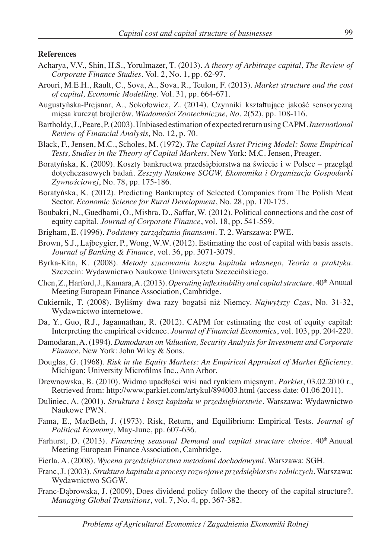#### **References**

- Acharya, V.V., Shin, H.S., Yorulmazer, T. (2013). *A theory of Arbitrage capital, The Review of Corporate Finance Studies*. Vol. 2, No. 1, pp. 62-97.
- Arouri, M.E.H., Rault, C., Sova, A., Sova, R., Teulon, F. (2013). *Market structure and the cost of capital, Economic Modelling*. Vol. 31, pp. 664-671.
- Augustyńska-Prejsnar, A., Sokołowicz, Z. (2014). Czynniki kształtujące jakość sensoryczną mięsa kurcząt brojlerów. *Wiadomości Zootechniczne, No. 2*(52), pp. 108-116.
- Bartholdy, J., Peare, P. (2003). Unbiased estimation of expected return using CAPM. *International Review of Financial Analysis,* No. 12, p. 70.
- Black, F., Jensen, M.C., Scholes, M. (1972). *The Capital Asset Pricing Model: Some Empirical Tests, Studies in the Theory of Capital Markets*. New York: M.C. Jensen, Preager.
- Boratyńska, K. (2009). Koszty bankructwa przedsiębiorstwa na świecie i w Polsce przegląd dotychczasowych badań. *Zeszyty Naukowe SGGW, Ekonomika i Organizacja Gospodarki Żywnościowej*, No. 78, pp. 175-186.
- Boratyńska, K. (2012). Predicting Bankruptcy of Selected Companies from The Polish Meat Sector. *Economic Science for Rural Development*, No. 28, pp. 170-175.
- Boubakri, N., Guedhami, O., Mishra, D., Saffar, W. (2012). Political connections and the cost of equity capital. *Journal of Corporate Finance*, vol. 18, pp. 541-559.
- Brigham, E. (1996). *Podstawy zarządzania finansami*. T. 2. Warszawa: PWE.
- Brown, S.J., Lajbcygier, P., Wong, W.W. (2012). Estimating the cost of capital with basis assets. *Journal of Banking & Finance*, vol. 36, pp. 3071-3079.
- Byrka-Kita, K. (2008). *Metody szacowania kosztu kapitału własnego, Teoria a praktyka*. Szczecin: Wydawnictwo Naukowe Uniwersytetu Szczecińskiego.
- Chen, Z., Harford, J., Kamara, A. (2013). *Operating inflexitability and capital structure*. 40th Anuual Meeting European Finance Association, Cambridge.
- Cukiernik, T. (2008). Byliśmy dwa razy bogatsi niż Niemcy. *Najwyższy Czas*, No. 31-32, Wydawnictwo internetowe.
- Da, Y., Guo, R.J., Jagannathan, R. (2012). CAPM for estimating the cost of equity capital: Interpreting the empirical evidence. *Journal of Financial Economics*, vol. 103, pp. 204-220.
- Damodaran, A. (1994). *Damodaran on Valuation, Security Analysis for Investment and Corporate Finance*. New York: John Wiley & Sons.
- Douglas, G. (1968). *Risk in the Equity Markets: An Empirical Appraisal of Market Efficiency*. Michigan: University Microfilms Inc., Ann Arbor.
- Drewnowska, B. (2010). Widmo upadłości wisi nad rynkiem mięsnym. *Parkiet*, 03.02.2010 r., Retrieved from: http://www.parkiet.com/artykul/894003.html (access date: 01.06.2011).
- Duliniec, A. (2001). *Struktura i koszt kapitału w przedsiębiorstwie*. Warszawa: Wydawnictwo Naukowe PWN.
- Fama, E., MacBeth, J. (1973). Risk, Return, and Equilibrium: Empirical Tests. *Journal of Political Economy*, May-June, pp. 607-636.
- Farhurst, D. (2013). *Financing seasonal Demand and capital structure choice*. 40<sup>th</sup> Anuual Meeting European Finance Association, Cambridge.
- Fierla, A. (2008). *Wycena przedsiębiorstwa metodami dochodowymi*. Warszawa: SGH.
- Franc, J. (2003). *Struktura kapitału a procesy rozwojowe przedsiębiorstw rolniczych*. Warszawa: Wydawnictwo SGGW.
- Franc-Dąbrowska, J. (2009), Does dividend policy follow the theory of the capital structure?. *Managing Global Transitions*, vol. 7, No. 4, pp. 367-382.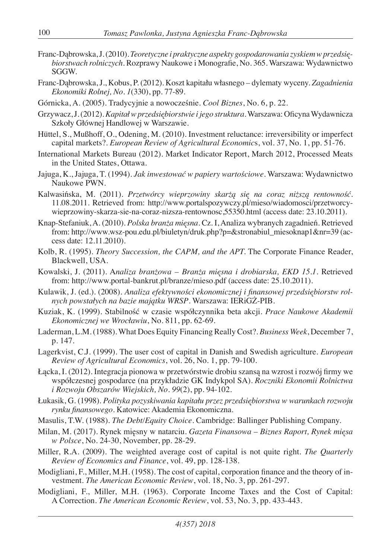- Franc-Dąbrowska, J. (2010). *Teoretyczne i praktyczne aspekty gospodarowania zyskiem w przedsiębiorstwach rolniczych*. Rozprawy Naukowe i Monografie, No. 365. Warszawa: Wydawnictwo SGGW.
- Franc-Dąbrowska, J., Kobus, P. (2012). Koszt kapitału własnego dylematy wyceny. *Zagadnienia Ekonomiki Rolnej, No. 1*(330), pp. 77-89.
- Górnicka, A. (2005). Tradycyjnie a nowocześnie. *Cool Biznes*, No. 6, p. 22.
- Grzywacz, J. (2012). *Kapitał w przedsiębiorstwie i jego struktura*. Warszawa: Oficyna Wydawnicza Szkoły Głównej Handlowej w Warszawie.
- Hüttel, S., Mußhoff, O., Odening, M. (2010). Investment reluctance: irreversibility or imperfect capital markets?. *European Review of Agricultural Economic*s, vol. 37, No. 1, pp. 51-76.
- International Markets Bureau (2012). Market Indicator Report, March 2012, Processed Meats in the United States, Ottawa.
- Jajuga, K., Jajuga, T. (1994). *Jak inwestować w papiery wartościowe*. Warszawa: Wydawnictwo Naukowe PWN.
- Kalwasińska, M. (2011). *Przetwórcy wieprzowiny skarżą się na coraz niższą rentowność*. 11.08.2011. Retrieved from: http://www.portalspozywczy.pl/mieso/wiadomosci/przetworcywieprzowiny-skarza-sie-na-coraz-nizsza-rentownosc,55350.html (access date: 23.10.2011).
- Knap-Stefaniuk, A. (2010). *Polska branża mięsna*. Cz. I, Analiza wybranych zagadnień. Retrieved from: http://www.wsz-pou.edu.pl/biuletyn/druk.php?p=&stronabiul\_miesoknap1&nr=39 (access date: 12.11.2010).
- Kolb, R. (1995). *Theory Succession, the CAPM, and the APT.* The Corporate Finance Reader, Blackwell, USA.
- Kowalski, J. (2011). A*naliza branżowa Branża mięsna i drobiarska, EKD 15.1*. Retrieved from: http://www.portal-bankrut.pl/branze/mieso.pdf (access date: 25.10.2011).
- Kulawik, J. (ed.). (2008). *Analiza efektywności ekonomicznej i finansowej przedsiębiorstw rolnych powstałych na bazie majątku WRSP*. Warszawa: IERiGŻ-PIB.
- Kuziak, K. (1999). Stabilność w czasie współczynnika beta akcji. *Prace Naukowe Akademii Ekonomicznej we Wrocławiu*, No. 811, pp. 62-69.
- Laderman, L.M. (1988). What Does Equity Financing Really Cost?. *Business Week*, December 7, p. 147.
- Lagerkvist, C.J. (1999). The user cost of capital in Danish and Swedish agriculture. *European Review of Agricultural Economics*, vol. 26, No. 1, pp. 79-100.
- Łącka, I. (2012). Integracja pionowa w przetwórstwie drobiu szansą na wzrost i rozwój firmy we współczesnej gospodarce (na przykładzie GK Indykpol SA). *Roczniki Ekonomii Rolnictwa i Rozwoju Obszarów Wiejskich, No. 99*(2), pp. 94-102.
- Łukasik, G. (1998). *Polityka pozyskiwania kapitału przez przedsiębiorstwa w warunkach rozwoju rynku finansowego*. Katowice: Akademia Ekonomiczna.
- Masulis, T.W. (1988). *The Debt/Equity Choice*. Cambridge: Ballinger Publishing Company.
- Milan, M. (2017). Rynek mięsny w natarciu. *Gazeta Finansowa Biznes Raport, Rynek mięsa w Polsce*, No. 24-30, November, pp. 28-29.
- Miller, R.A. (2009). The weighted average cost of capital is not quite right. *The Quarterly Review of Economics and Finance*, vol. 49, pp. 128-138.
- Modigliani, F., Miller, M.H. (1958). The cost of capital, corporation finance and the theory of investment. *The American Economic Review*, vol. 18, No. 3, pp. 261-297.
- Modigliani, F., Miller, M.H. (1963). Corporate Income Taxes and the Cost of Capital: A Correction. *The American Economic Review*, vol. 53, No. 3, pp. 433-443.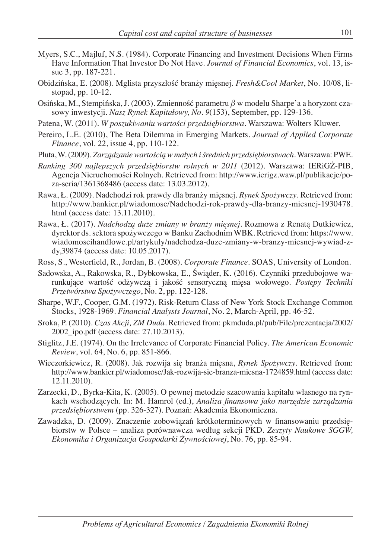- Myers, S.C., Majluf, N.S. (1984). Corporate Financing and Investment Decisions When Firms Have Information That Investor Do Not Have. *Journal of Financial Economics*, vol. 13, issue 3, pp. 187-221.
- Obidzińska, E. (2008). Mglista przyszłość branży mięsnej. *Fresh&Cool Market*, No. 10/08, listopad, pp. 10-12.
- Osińska, M., Stempińska, J. (2003). Zmienność parametru *β* w modelu Sharpe'a a horyzont czasowy inwestycji. *Nasz Rynek Kapitałowy, No. 9*(153), September, pp. 129-136.
- Patena, W. (2011). *W poszukiwaniu wartości przedsiębiorstwa*. Warszawa: Wolters Kluwer.
- Pereiro, L.E. (2010), The Beta Dilemma in Emerging Markets. *Journal of Applied Corporate Finance*, vol. 22, issue 4, pp. 110-122.
- Pluta, W. (2009). *Zarządzanie wartością w małych i średnich przedsiębiorstwach*. Warszawa: PWE.
- *Ranking 300 najlepszych przedsiębiorstw rolnych w 2011* (2012). Warszawa: IERiGŻ-PIB, Agencja Nieruchomości Rolnych. Retrieved from: http://www.ierigz.waw.pl/publikacje/poza-seria/1361368486 (access date: 13.03.2012).
- Rawa, Ł. (2009). Nadchodzi rok prawdy dla branży mięsnej. *Rynek Spożywczy*. Retrieved from: http://www.bankier.pl/wiadomosc/Nadchodzi-rok-prawdy-dla-branzy-miesnej-1930478. html (access date: 13.11.2010).
- Rawa, Ł. (2017). *Nadchodzą duże zmiany w branży mięsnej*. Rozmowa z Renatą Dutkiewicz, dyrektor ds. sektora spożywczego w Banku Zachodnim WBK. Retrieved from: https://www. wiadomoscihandlowe.pl/artykuly/nadchodza-duze-zmiany-w-branzy-miesnej-wywiad-zdy,39874 (access date: 10.05.2017).
- Ross, S., Westerfield, R., Jordan, B. (2008). *Corporate Finance*. SOAS, University of London.
- Sadowska, A., Rakowska, R., Dybkowska, E., Świąder, K. (2016). Czynniki przedubojowe warunkujące wartość odżywczą i jakość sensoryczną mięsa wołowego. *Postępy Techniki Przetwórstwa Spożywczego*, No. 2, pp. 122-128.
- Sharpe, W.F., Cooper, G.M. (1972). Risk-Return Class of New York Stock Exchange Common Stocks, 1928-1969. *Financial Analysts Journal*, No. 2, March-April, pp. 46-52.
- Sroka, P. (2010). *Czas Akcji, ZM Duda*. Retrieved from: pkmduda.pl/pub/File/prezentacja/2002/ 2002\_ipo.pdf (access date: 27.10.2013).
- Stiglitz, J.E. (1974). On the Irrelevance of Corporate Financial Policy. *The American Economic Review*, vol. 64, No. 6, pp. 851-866.
- Wieczorkiewicz, R. (2008). Jak rozwija się branża mięsna, *Rynek Spożywczy*. Retrieved from: http://www.bankier.pl/wiadomosc/Jak-rozwija-sie-branza-miesna-1724859.html (access date: 12.11.2010).
- Zarzecki, D., Byrka-Kita, K. (2005). O pewnej metodzie szacowania kapitału własnego na rynkach wschodzących. In: M. Hamrol (ed.), *Analiza finansowa jako narzędzie zarządzania przedsiębiorstwem* (pp. 326-327). Poznań: Akademia Ekonomiczna.
- Zawadzka, D. (2009). Znaczenie zobowiązań krótkoterminowych w finansowaniu przedsiębiorstw w Polsce – analiza porównawcza według sekcji PKD. *Zeszyty Naukowe SGGW, Ekonomika i Organizacja Gospodarki Żywnościowej*, No. 76, pp. 85-94.